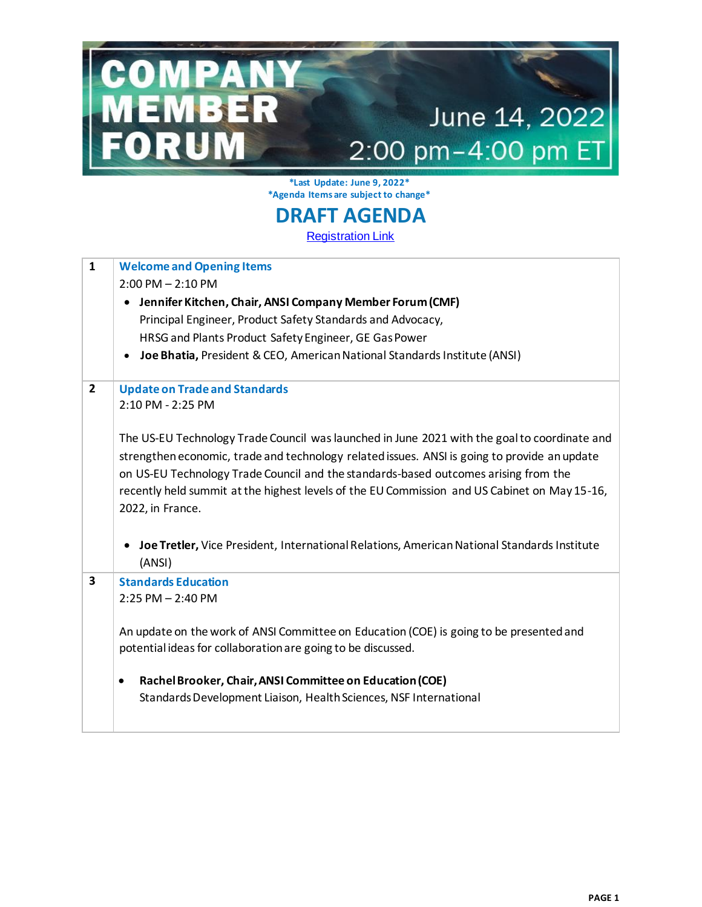## June 14, 2022 2:00 pm-4:00 pm ET

**\*Last Update: June 9, 2022\* \*Agenda Items are subject to change\***

OMPANY<br>EMBER

RUM

## **DRAFT AGENDA**

**[Registration Link](https://goansi.webex.com/goansi/j.php?RGID=r67a0a9fabfcb38f2e3a6cab26a09e82f)** 

| $\mathbf{1}$   | <b>Welcome and Opening Items</b>                                                             |
|----------------|----------------------------------------------------------------------------------------------|
|                | $2:00$ PM $- 2:10$ PM                                                                        |
|                | Jennifer Kitchen, Chair, ANSI Company Member Forum (CMF)<br>$\bullet$                        |
|                | Principal Engineer, Product Safety Standards and Advocacy,                                   |
|                | HRSG and Plants Product Safety Engineer, GE Gas Power                                        |
|                | Joe Bhatia, President & CEO, American National Standards Institute (ANSI)                    |
|                |                                                                                              |
| $\overline{2}$ | <b>Update on Trade and Standards</b>                                                         |
|                | 2:10 PM - 2:25 PM                                                                            |
|                |                                                                                              |
|                | The US-EU Technology Trade Council was launched in June 2021 with the goal to coordinate and |
|                | strengthen economic, trade and technology related issues. ANSI is going to provide an update |
|                | on US-EU Technology Trade Council and the standards-based outcomes arising from the          |
|                |                                                                                              |
|                | recently held summit at the highest levels of the EU Commission and US Cabinet on May 15-16, |
|                | 2022, in France.                                                                             |
|                |                                                                                              |
|                | Joe Tretler, Vice President, International Relations, American National Standards Institute  |
|                | (ANSI)                                                                                       |
| 3              | <b>Standards Education</b>                                                                   |
|                | $2:25$ PM $- 2:40$ PM                                                                        |
|                |                                                                                              |
|                | An update on the work of ANSI Committee on Education (COE) is going to be presented and      |
|                | potential ideas for collaboration are going to be discussed.                                 |
|                |                                                                                              |
|                | Rachel Brooker, Chair, ANSI Committee on Education (COE)<br>٠                                |
|                | Standards Development Liaison, Health Sciences, NSF International                            |
|                |                                                                                              |
|                |                                                                                              |